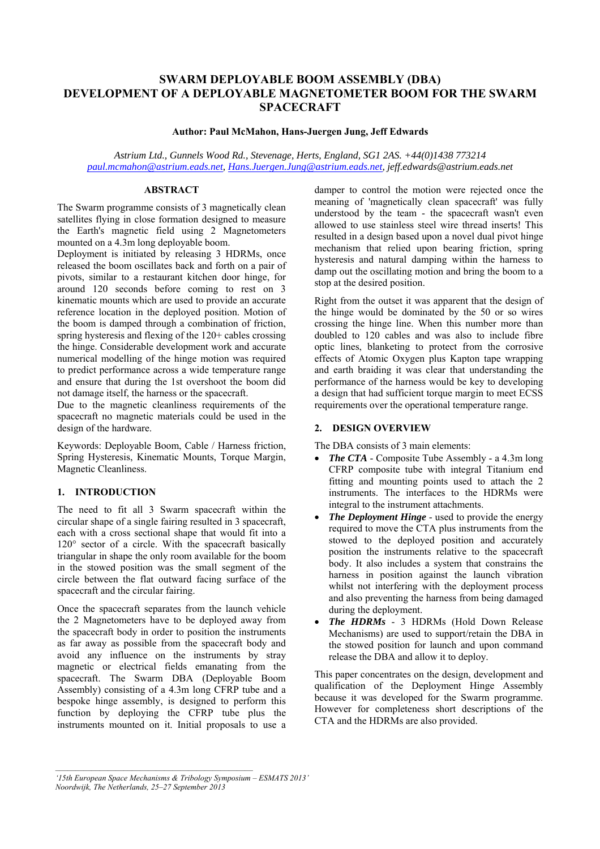# **SWARM DEPLOYABLE BOOM ASSEMBLY (DBA) DEVELOPMENT OF A DEPLOYABLE MAGNETOMETER BOOM FOR THE SWARM SPACECRAFT**

#### **Author: Paul McMahon, Hans-Juergen Jung, Jeff Edwards**

*Astrium Ltd., Gunnels Wood Rd., Stevenage, Herts, England, SG1 2AS. +44(0)1438 773214 paul.mcmahon@astrium.eads.net, Hans.Juergen.Jung@astrium.eads.net, jeff.edwards@astrium.eads.net* 

#### **ABSTRACT**

The Swarm programme consists of 3 magnetically clean satellites flying in close formation designed to measure the Earth's magnetic field using 2 Magnetometers mounted on a 4.3m long deployable boom.

Deployment is initiated by releasing 3 HDRMs, once released the boom oscillates back and forth on a pair of pivots, similar to a restaurant kitchen door hinge, for around 120 seconds before coming to rest on 3 kinematic mounts which are used to provide an accurate reference location in the deployed position. Motion of the boom is damped through a combination of friction, spring hysteresis and flexing of the 120+ cables crossing the hinge. Considerable development work and accurate numerical modelling of the hinge motion was required to predict performance across a wide temperature range and ensure that during the 1st overshoot the boom did not damage itself, the harness or the spacecraft.

Due to the magnetic cleanliness requirements of the spacecraft no magnetic materials could be used in the design of the hardware.

Keywords: Deployable Boom, Cable / Harness friction, Spring Hysteresis, Kinematic Mounts, Torque Margin, Magnetic Cleanliness.

#### **1. INTRODUCTION**

The need to fit all 3 Swarm spacecraft within the circular shape of a single fairing resulted in 3 spacecraft, each with a cross sectional shape that would fit into a 120° sector of a circle. With the spacecraft basically triangular in shape the only room available for the boom in the stowed position was the small segment of the circle between the flat outward facing surface of the spacecraft and the circular fairing.

Once the spacecraft separates from the launch vehicle the 2 Magnetometers have to be deployed away from the spacecraft body in order to position the instruments as far away as possible from the spacecraft body and avoid any influence on the instruments by stray magnetic or electrical fields emanating from the spacecraft. The Swarm DBA (Deployable Boom Assembly) consisting of a 4.3m long CFRP tube and a bespoke hinge assembly, is designed to perform this function by deploying the CFRP tube plus the instruments mounted on it. Initial proposals to use a

damper to control the motion were rejected once the meaning of 'magnetically clean spacecraft' was fully understood by the team - the spacecraft wasn't even allowed to use stainless steel wire thread inserts! This resulted in a design based upon a novel dual pivot hinge mechanism that relied upon bearing friction, spring hysteresis and natural damping within the harness to damp out the oscillating motion and bring the boom to a stop at the desired position.

Right from the outset it was apparent that the design of the hinge would be dominated by the 50 or so wires crossing the hinge line. When this number more than doubled to 120 cables and was also to include fibre optic lines, blanketing to protect from the corrosive effects of Atomic Oxygen plus Kapton tape wrapping and earth braiding it was clear that understanding the performance of the harness would be key to developing a design that had sufficient torque margin to meet ECSS requirements over the operational temperature range.

# **2. DESIGN OVERVIEW**

The DBA consists of 3 main elements:

- The CTA Composite Tube Assembly a 4.3m long CFRP composite tube with integral Titanium end fitting and mounting points used to attach the 2 instruments. The interfaces to the HDRMs were integral to the instrument attachments.
- *The Deployment Hinge* used to provide the energy required to move the CTA plus instruments from the stowed to the deployed position and accurately position the instruments relative to the spacecraft body. It also includes a system that constrains the harness in position against the launch vibration whilst not interfering with the deployment process and also preventing the harness from being damaged during the deployment.
- *The HDRMs* 3 HDRMs (Hold Down Release Mechanisms) are used to support/retain the DBA in the stowed position for launch and upon command release the DBA and allow it to deploy.

This paper concentrates on the design, development and qualification of the Deployment Hinge Assembly because it was developed for the Swarm programme. However for completeness short descriptions of the CTA and the HDRMs are also provided.

*<sup>&#</sup>x27;15th European Space Mechanisms & Tribology Symposium – ESMATS 2013' Noordwijk, The Netherlands, 25–27 September 2013*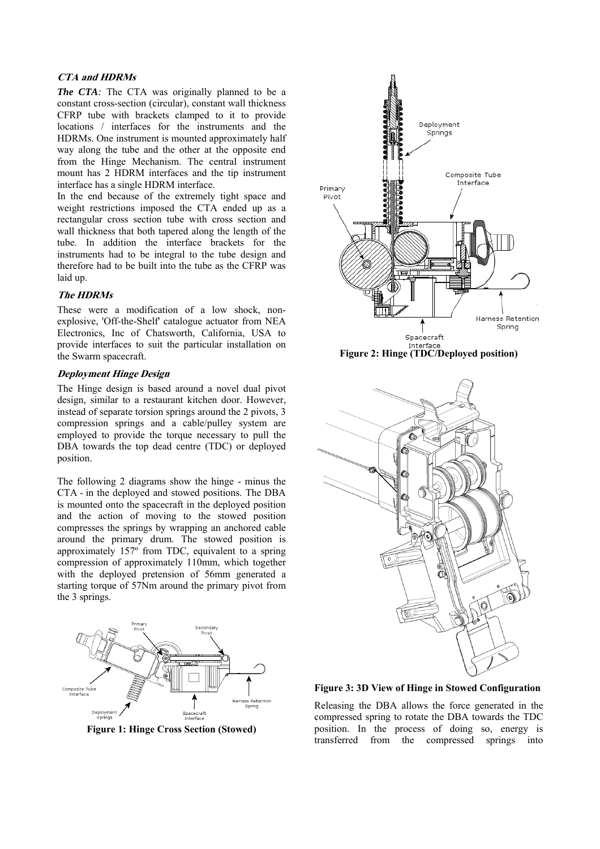## **CTA and HDRMs**

*The CTA*: The CTA was originally planned to be a constant cross-section (circular), constant wall thickness CFRP tube with brackets clamped to it to provide locations / interfaces for the instruments and the HDRMs. One instrument is mounted approximately half way along the tube and the other at the opposite end from the Hinge Mechanism. The central instrument mount has 2 HDRM interfaces and the tip instrument interface has a single HDRM interface.

In the end because of the extremely tight space and weight restrictions imposed the CTA ended up as a rectangular cross section tube with cross section and wall thickness that both tapered along the length of the tube. In addition the interface brackets for the instruments had to be integral to the tube design and therefore had to be built into the tube as the CFRP was laid up.

#### **The HDRMs**

These were a modification of a low shock, nonexplosive, 'Off-the-Shelf' catalogue actuator from NEA Electronics, Inc of Chatsworth, California, USA to provide interfaces to suit the particular installation on the Swarm spacecraft.

#### **Deployment Hinge Design**

The Hinge design is based around a novel dual pivot design, similar to a restaurant kitchen door. However, instead of separate torsion springs around the 2 pivots, 3 compression springs and a cable/pulley system are employed to provide the torque necessary to pull the DBA towards the top dead centre (TDC) or deployed position.

The following 2 diagrams show the hinge - minus the CTA - in the deployed and stowed positions. The DBA is mounted onto the spacecraft in the deployed position and the action of moving to the stowed position compresses the springs by wrapping an anchored cable around the primary drum. The stowed position is approximately 157º from TDC, equivalent to a spring compression of approximately 110mm, which together with the deployed pretension of 56mm generated a starting torque of 57Nm around the primary pivot from the 3 springs.



**Figure 1: Hinge Cross Section (Stowed)** 





**Figure 3: 3D View of Hinge in Stowed Configuration** 

Releasing the DBA allows the force generated in the compressed spring to rotate the DBA towards the TDC position. In the process of doing so, energy is transferred from the compressed springs into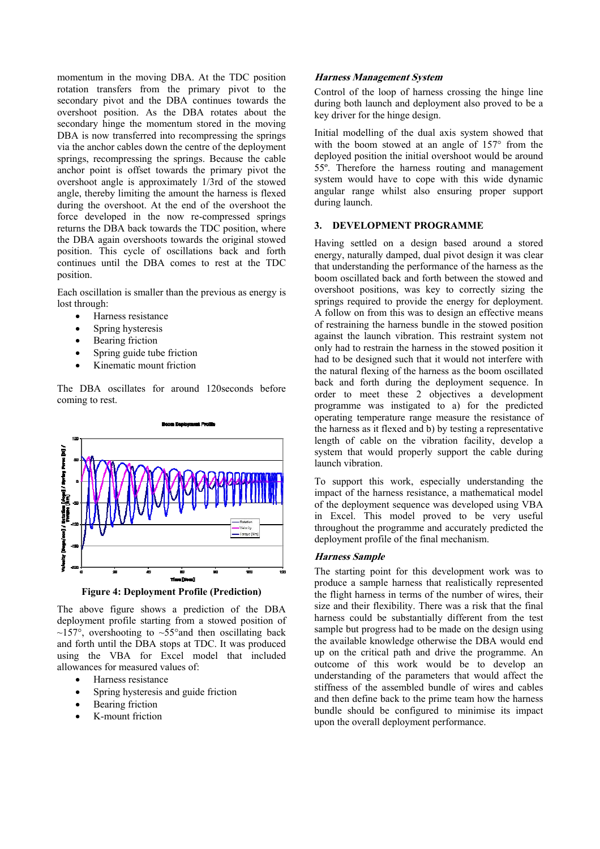momentum in the moving DBA. At the TDC position rotation transfers from the primary pivot to the secondary pivot and the DBA continues towards the overshoot position. As the DBA rotates about the secondary hinge the momentum stored in the moving DBA is now transferred into recompressing the springs via the anchor cables down the centre of the deployment springs, recompressing the springs. Because the cable anchor point is offset towards the primary pivot the overshoot angle is approximately 1/3rd of the stowed angle, thereby limiting the amount the harness is flexed during the overshoot. At the end of the overshoot the force developed in the now re-compressed springs returns the DBA back towards the TDC position, where the DBA again overshoots towards the original stowed position. This cycle of oscillations back and forth continues until the DBA comes to rest at the TDC position.

Each oscillation is smaller than the previous as energy is lost through:

- Harness resistance
- Spring hysteresis
- Bearing friction
- Spring guide tube friction
- Kinematic mount friction

The DBA oscillates for around 120seconds before coming to rest.



**Figure 4: Deployment Profile (Prediction)** 

The above figure shows a prediction of the DBA deployment profile starting from a stowed position of  $\sim$ 157°, overshooting to  $\sim$ 55° and then oscillating back and forth until the DBA stops at TDC. It was produced using the VBA for Excel model that included allowances for measured values of:

- Harness resistance
- Spring hysteresis and guide friction
- Bearing friction
- K-mount friction

#### **Harness Management System**

Control of the loop of harness crossing the hinge line during both launch and deployment also proved to be a key driver for the hinge design.

Initial modelling of the dual axis system showed that with the boom stowed at an angle of 157° from the deployed position the initial overshoot would be around 55º. Therefore the harness routing and management system would have to cope with this wide dynamic angular range whilst also ensuring proper support during launch.

# **3. DEVELOPMENT PROGRAMME**

Having settled on a design based around a stored energy, naturally damped, dual pivot design it was clear that understanding the performance of the harness as the boom oscillated back and forth between the stowed and overshoot positions, was key to correctly sizing the springs required to provide the energy for deployment. A follow on from this was to design an effective means of restraining the harness bundle in the stowed position against the launch vibration. This restraint system not only had to restrain the harness in the stowed position it had to be designed such that it would not interfere with the natural flexing of the harness as the boom oscillated back and forth during the deployment sequence. In order to meet these 2 objectives a development programme was instigated to a) for the predicted operating temperature range measure the resistance of the harness as it flexed and b) by testing a representative length of cable on the vibration facility, develop a system that would properly support the cable during launch vibration.

To support this work, especially understanding the impact of the harness resistance, a mathematical model of the deployment sequence was developed using VBA in Excel. This model proved to be very useful throughout the programme and accurately predicted the deployment profile of the final mechanism.

# **Harness Sample**

The starting point for this development work was to produce a sample harness that realistically represented the flight harness in terms of the number of wires, their size and their flexibility. There was a risk that the final harness could be substantially different from the test sample but progress had to be made on the design using the available knowledge otherwise the DBA would end up on the critical path and drive the programme. An outcome of this work would be to develop an understanding of the parameters that would affect the stiffness of the assembled bundle of wires and cables and then define back to the prime team how the harness bundle should be configured to minimise its impact upon the overall deployment performance.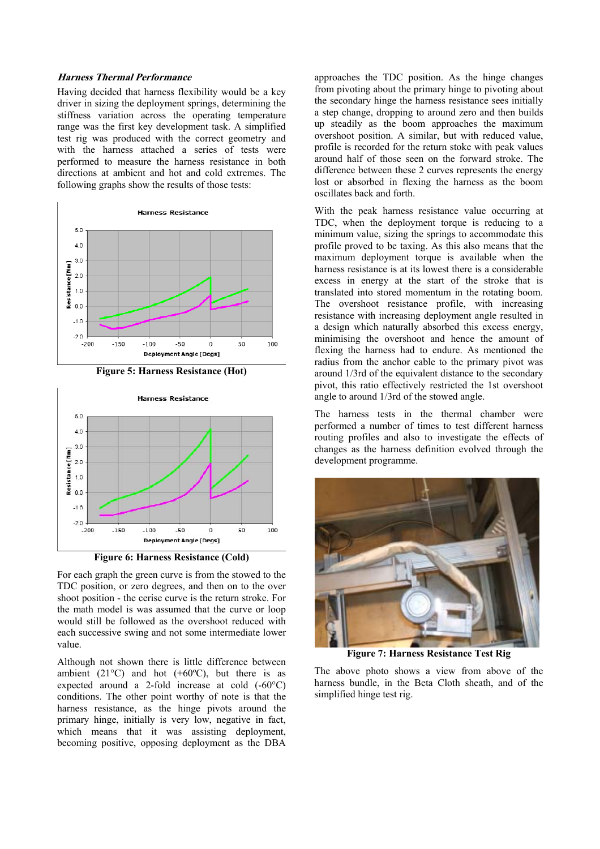#### **Harness Thermal Performance**

Having decided that harness flexibility would be a key driver in sizing the deployment springs, determining the stiffness variation across the operating temperature range was the first key development task. A simplified test rig was produced with the correct geometry and with the harness attached a series of tests were performed to measure the harness resistance in both directions at ambient and hot and cold extremes. The following graphs show the results of those tests:



**Figure 5: Harness Resistance (Hot)** 



**Figure 6: Harness Resistance (Cold)** 

For each graph the green curve is from the stowed to the TDC position, or zero degrees, and then on to the over shoot position - the cerise curve is the return stroke. For the math model is was assumed that the curve or loop would still be followed as the overshoot reduced with each successive swing and not some intermediate lower value.

Although not shown there is little difference between ambient (21 $^{\circ}$ C) and hot (+60 $^{\circ}$ C), but there is as expected around a 2-fold increase at cold (-60°C) conditions. The other point worthy of note is that the harness resistance, as the hinge pivots around the primary hinge, initially is very low, negative in fact, which means that it was assisting deployment, becoming positive, opposing deployment as the DBA approaches the TDC position. As the hinge changes from pivoting about the primary hinge to pivoting about the secondary hinge the harness resistance sees initially a step change, dropping to around zero and then builds up steadily as the boom approaches the maximum overshoot position. A similar, but with reduced value, profile is recorded for the return stoke with peak values around half of those seen on the forward stroke. The difference between these 2 curves represents the energy lost or absorbed in flexing the harness as the boom oscillates back and forth.

With the peak harness resistance value occurring at TDC, when the deployment torque is reducing to a minimum value, sizing the springs to accommodate this profile proved to be taxing. As this also means that the maximum deployment torque is available when the harness resistance is at its lowest there is a considerable excess in energy at the start of the stroke that is translated into stored momentum in the rotating boom. The overshoot resistance profile, with increasing resistance with increasing deployment angle resulted in a design which naturally absorbed this excess energy, minimising the overshoot and hence the amount of flexing the harness had to endure. As mentioned the radius from the anchor cable to the primary pivot was around 1/3rd of the equivalent distance to the secondary pivot, this ratio effectively restricted the 1st overshoot angle to around 1/3rd of the stowed angle.

The harness tests in the thermal chamber were performed a number of times to test different harness routing profiles and also to investigate the effects of changes as the harness definition evolved through the development programme.



**Figure 7: Harness Resistance Test Rig** 

The above photo shows a view from above of the harness bundle, in the Beta Cloth sheath, and of the simplified hinge test rig.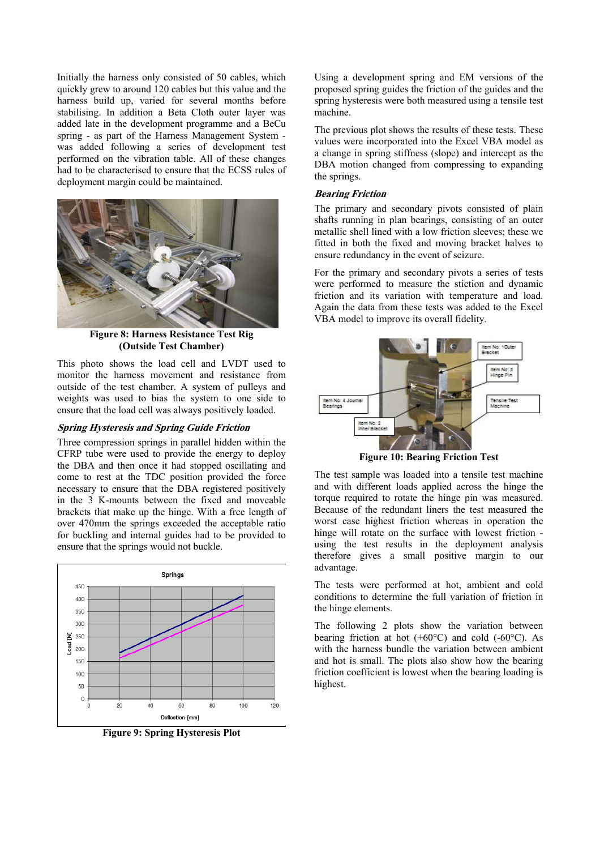Initially the harness only consisted of 50 cables, which quickly grew to around 120 cables but this value and the harness build up, varied for several months before stabilising. In addition a Beta Cloth outer layer was added late in the development programme and a BeCu spring - as part of the Harness Management System was added following a series of development test performed on the vibration table. All of these changes had to be characterised to ensure that the ECSS rules of deployment margin could be maintained.



**Figure 8: Harness Resistance Test Rig (Outside Test Chamber)** 

This photo shows the load cell and LVDT used to monitor the harness movement and resistance from outside of the test chamber. A system of pulleys and weights was used to bias the system to one side to ensure that the load cell was always positively loaded.

# **Spring Hysteresis and Spring Guide Friction**

Three compression springs in parallel hidden within the CFRP tube were used to provide the energy to deploy the DBA and then once it had stopped oscillating and come to rest at the TDC position provided the force necessary to ensure that the DBA registered positively in the 3 K-mounts between the fixed and moveable brackets that make up the hinge. With a free length of over 470mm the springs exceeded the acceptable ratio for buckling and internal guides had to be provided to ensure that the springs would not buckle.



**Figure 9: Spring Hysteresis Plot** 

Using a development spring and EM versions of the proposed spring guides the friction of the guides and the spring hysteresis were both measured using a tensile test machine.

The previous plot shows the results of these tests. These values were incorporated into the Excel VBA model as a change in spring stiffness (slope) and intercept as the DBA motion changed from compressing to expanding the springs.

# **Bearing Friction**

The primary and secondary pivots consisted of plain shafts running in plan bearings, consisting of an outer metallic shell lined with a low friction sleeves; these we fitted in both the fixed and moving bracket halves to ensure redundancy in the event of seizure.

For the primary and secondary pivots a series of tests were performed to measure the stiction and dynamic friction and its variation with temperature and load. Again the data from these tests was added to the Excel VBA model to improve its overall fidelity.



**Figure 10: Bearing Friction Test** 

The test sample was loaded into a tensile test machine and with different loads applied across the hinge the torque required to rotate the hinge pin was measured. Because of the redundant liners the test measured the worst case highest friction whereas in operation the hinge will rotate on the surface with lowest friction using the test results in the deployment analysis therefore gives a small positive margin to our advantage.

The tests were performed at hot, ambient and cold conditions to determine the full variation of friction in the hinge elements.

The following 2 plots show the variation between bearing friction at hot  $(+60^{\circ}C)$  and cold  $(-60^{\circ}C)$ . As with the harness bundle the variation between ambient and hot is small. The plots also show how the bearing friction coefficient is lowest when the bearing loading is highest.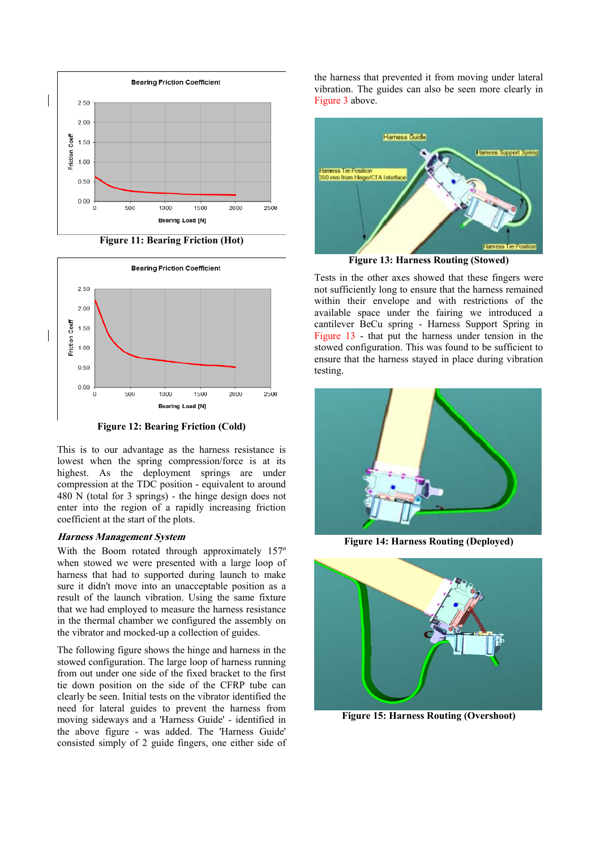

**Figure 11: Bearing Friction (Hot)** 



**Figure 12: Bearing Friction (Cold)** 

This is to our advantage as the harness resistance is lowest when the spring compression/force is at its highest. As the deployment springs are under compression at the TDC position - equivalent to around 480 N (total for 3 springs) - the hinge design does not enter into the region of a rapidly increasing friction coefficient at the start of the plots.

#### **Harness Management System**

With the Boom rotated through approximately 157º when stowed we were presented with a large loop of harness that had to supported during launch to make sure it didn't move into an unacceptable position as a result of the launch vibration. Using the same fixture that we had employed to measure the harness resistance in the thermal chamber we configured the assembly on the vibrator and mocked-up a collection of guides.

The following figure shows the hinge and harness in the stowed configuration. The large loop of harness running from out under one side of the fixed bracket to the first tie down position on the side of the CFRP tube can clearly be seen. Initial tests on the vibrator identified the need for lateral guides to prevent the harness from moving sideways and a 'Harness Guide' - identified in the above figure - was added. The 'Harness Guide' consisted simply of 2 guide fingers, one either side of the harness that prevented it from moving under lateral vibration. The guides can also be seen more clearly in Figure 3 above.



**Figure 13: Harness Routing (Stowed)** 

Tests in the other axes showed that these fingers were not sufficiently long to ensure that the harness remained within their envelope and with restrictions of the available space under the fairing we introduced a cantilever BeCu spring - Harness Support Spring in Figure 13 - that put the harness under tension in the stowed configuration. This was found to be sufficient to ensure that the harness stayed in place during vibration testing.



**Figure 14: Harness Routing (Deployed)** 



**Figure 15: Harness Routing (Overshoot)**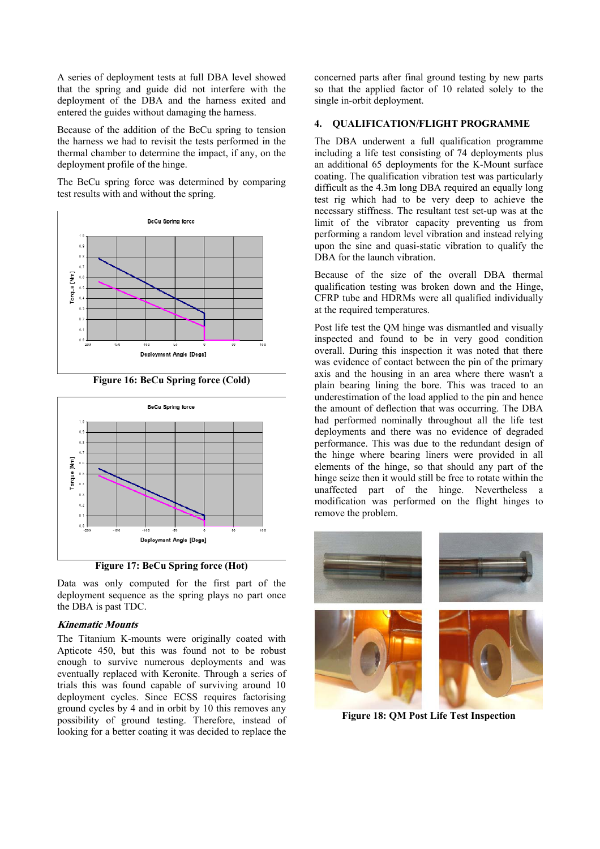A series of deployment tests at full DBA level showed that the spring and guide did not interfere with the deployment of the DBA and the harness exited and entered the guides without damaging the harness.

Because of the addition of the BeCu spring to tension the harness we had to revisit the tests performed in the thermal chamber to determine the impact, if any, on the deployment profile of the hinge.

The BeCu spring force was determined by comparing test results with and without the spring.



**Figure 16: BeCu Spring force (Cold)** 



**Figure 17: BeCu Spring force (Hot)** 

Data was only computed for the first part of the deployment sequence as the spring plays no part once the DBA is past TDC.

# **Kinematic Mounts**

The Titanium K-mounts were originally coated with Apticote 450, but this was found not to be robust enough to survive numerous deployments and was eventually replaced with Keronite. Through a series of trials this was found capable of surviving around 10 deployment cycles. Since ECSS requires factorising ground cycles by 4 and in orbit by 10 this removes any possibility of ground testing. Therefore, instead of looking for a better coating it was decided to replace the concerned parts after final ground testing by new parts so that the applied factor of 10 related solely to the single in-orbit deployment.

## **4. QUALIFICATION/FLIGHT PROGRAMME**

The DBA underwent a full qualification programme including a life test consisting of 74 deployments plus an additional 65 deployments for the K-Mount surface coating. The qualification vibration test was particularly difficult as the 4.3m long DBA required an equally long test rig which had to be very deep to achieve the necessary stiffness. The resultant test set-up was at the limit of the vibrator capacity preventing us from performing a random level vibration and instead relying upon the sine and quasi-static vibration to qualify the DBA for the launch vibration.

Because of the size of the overall DBA thermal qualification testing was broken down and the Hinge, CFRP tube and HDRMs were all qualified individually at the required temperatures.

Post life test the QM hinge was dismantled and visually inspected and found to be in very good condition overall. During this inspection it was noted that there was evidence of contact between the pin of the primary axis and the housing in an area where there wasn't a plain bearing lining the bore. This was traced to an underestimation of the load applied to the pin and hence the amount of deflection that was occurring. The DBA had performed nominally throughout all the life test deployments and there was no evidence of degraded performance. This was due to the redundant design of the hinge where bearing liners were provided in all elements of the hinge, so that should any part of the hinge seize then it would still be free to rotate within the unaffected part of the hinge. Nevertheless a modification was performed on the flight hinges to remove the problem.



**Figure 18: QM Post Life Test Inspection**